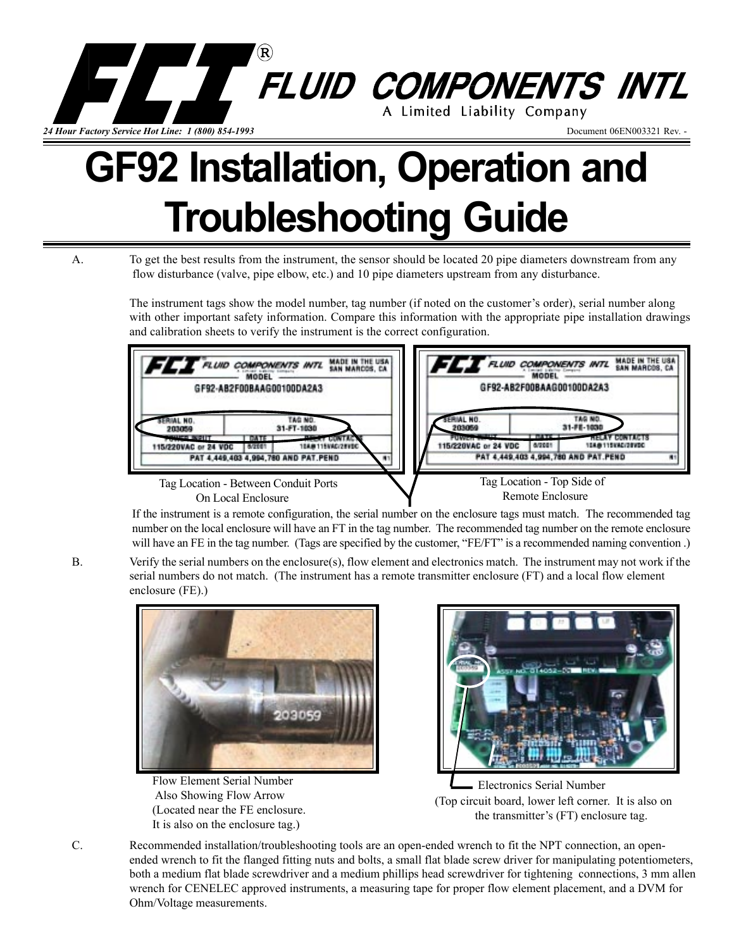

# **GF92 Installation, Operation and Troubleshooting Guide**

A. To get the best results from the instrument, the sensor should be located 20 pipe diameters downstream from any flow disturbance (valve, pipe elbow, etc.) and 10 pipe diameters upstream from any disturbance.

> The instrument tags show the model number, tag number (if noted on the customer's order), serial number along with other important safety information. Compare this information with the appropriate pipe installation drawings and calibration sheets to verify the instrument is the correct configuration.



If the instrument is a remote configuration, the serial number on the enclosure tags must match. The recommended tag number on the local enclosure will have an FT in the tag number. The recommended tag number on the remote enclosure will have an FE in the tag number. (Tags are specified by the customer, "FE/FT" is a recommended naming convention.)

B. Verify the serial numbers on the enclosure(s), flow element and electronics match. The instrument may not work if the serial numbers do not match. (The instrument has a remote transmitter enclosure (FT) and a local flow element enclosure (FE).)



Flow Element Serial Number Also Showing Flow Arrow (Located near the FE enclosure. It is also on the enclosure tag.)



 (Top circuit board, lower left corner. It is also on the transmitter's (FT) enclosure tag. Electronics Serial Number

C. Recommended installation/troubleshooting tools are an open-ended wrench to fit the NPT connection, an openended wrench to fit the flanged fitting nuts and bolts, a small flat blade screw driver for manipulating potentiometers, both a medium flat blade screwdriver and a medium phillips head screwdriver for tightening connections, 3 mm allen wrench for CENELEC approved instruments, a measuring tape for proper flow element placement, and a DVM for Ohm/Voltage measurements.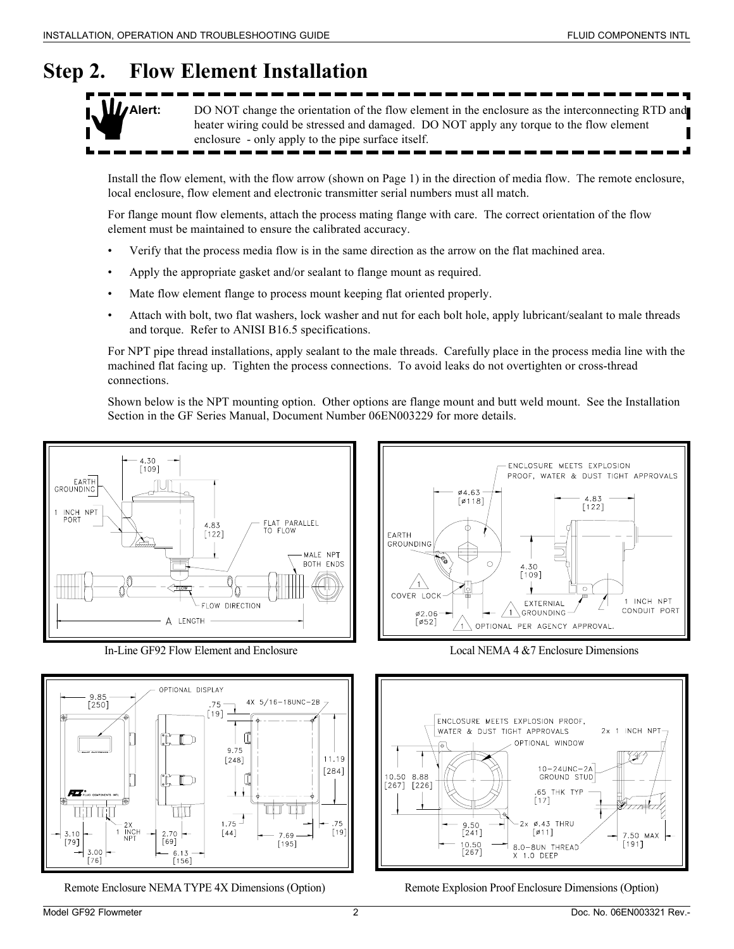# **Step 2. Flow Element Installation**



**Alert:** DO NOT change the orientation of the flow element in the enclosure as the interconnecting RTD and heater wiring could be stressed and damaged. DO NOT apply any torque to the flow element enclosure - only apply to the pipe surface itself.

Install the flow element, with the flow arrow (shown on Page 1) in the direction of media flow. The remote enclosure, local enclosure, flow element and electronic transmitter serial numbers must all match.

For flange mount flow elements, attach the process mating flange with care. The correct orientation of the flow element must be maintained to ensure the calibrated accuracy.

- Verify that the process media flow is in the same direction as the arrow on the flat machined area.
- Apply the appropriate gasket and/or sealant to flange mount as required.
- Mate flow element flange to process mount keeping flat oriented properly.
- Attach with bolt, two flat washers, lock washer and nut for each bolt hole, apply lubricant/sealant to male threads and torque. Refer to ANISI B16.5 specifications.

For NPT pipe thread installations, apply sealant to the male threads. Carefully place in the process media line with the machined flat facing up. Tighten the process connections. To avoid leaks do not overtighten or cross-thread connections.

Shown below is the NPT mounting option. Other options are flange mount and butt weld mount. See the Installation Section in the GF Series Manual, Document Number 06EN003229 for more details.



In-Line GF92 Flow Element and Enclosure Local NEMA 4 &7 Enclosure Dimensions







Remote Enclosure NEMA TYPE 4X Dimensions (Option) Remote Explosion Proof Enclosure Dimensions (Option)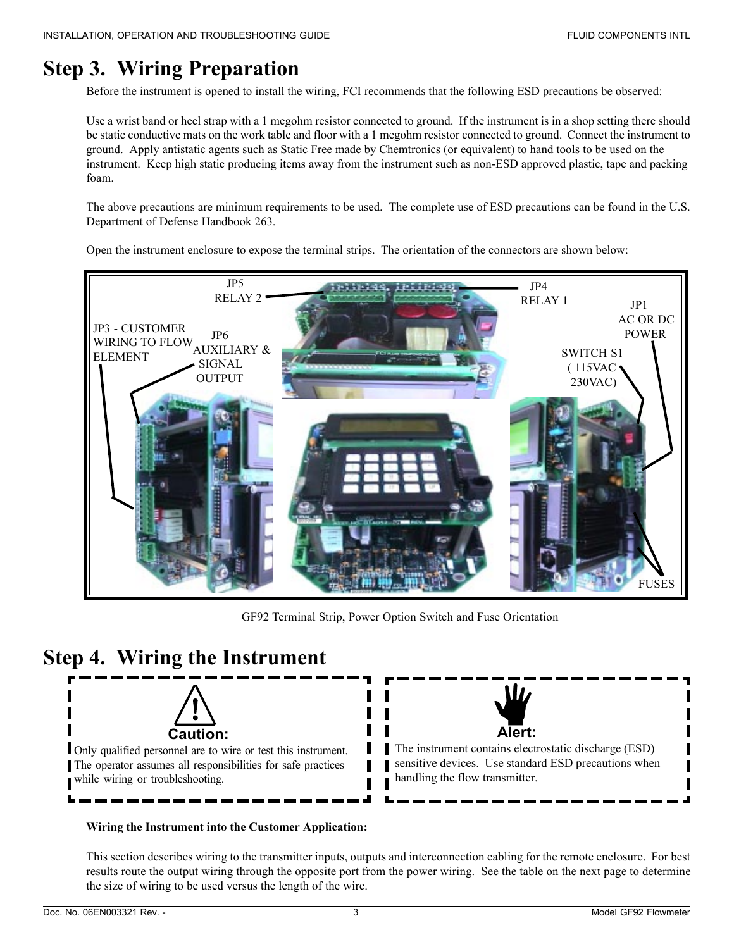# **Step 3. Wiring Preparation**

Before the instrument is opened to install the wiring, FCI recommends that the following ESD precautions be observed:

Use a wrist band or heel strap with a 1 megohm resistor connected to ground. If the instrument is in a shop setting there should be static conductive mats on the work table and floor with a 1 megohm resistor connected to ground. Connect the instrument to ground. Apply antistatic agents such as Static Free made by Chemtronics (or equivalent) to hand tools to be used on the instrument. Keep high static producing items away from the instrument such as non-ESD approved plastic, tape and packing foam.

The above precautions are minimum requirements to be used. The complete use of ESD precautions can be found in the U.S. Department of Defense Handbook 263.

Open the instrument enclosure to expose the terminal strips. The orientation of the connectors are shown below:



GF92 Terminal Strip, Power Option Switch and Fuse Orientation

## **Step 4. Wiring the Instrument**



Only qualified personnel are to wire or test this instrument. The operator assumes all responsibilities for safe practices while wiring or troubleshooting.



The instrument contains electrostatic discharge (ESD) sensitive devices. Use standard ESD precautions when handling the flow transmitter.

## **Wiring the Instrument into the Customer Application:**

This section describes wiring to the transmitter inputs, outputs and interconnection cabling for the remote enclosure. For best results route the output wiring through the opposite port from the power wiring. See the table on the next page to determine the size of wiring to be used versus the length of the wire.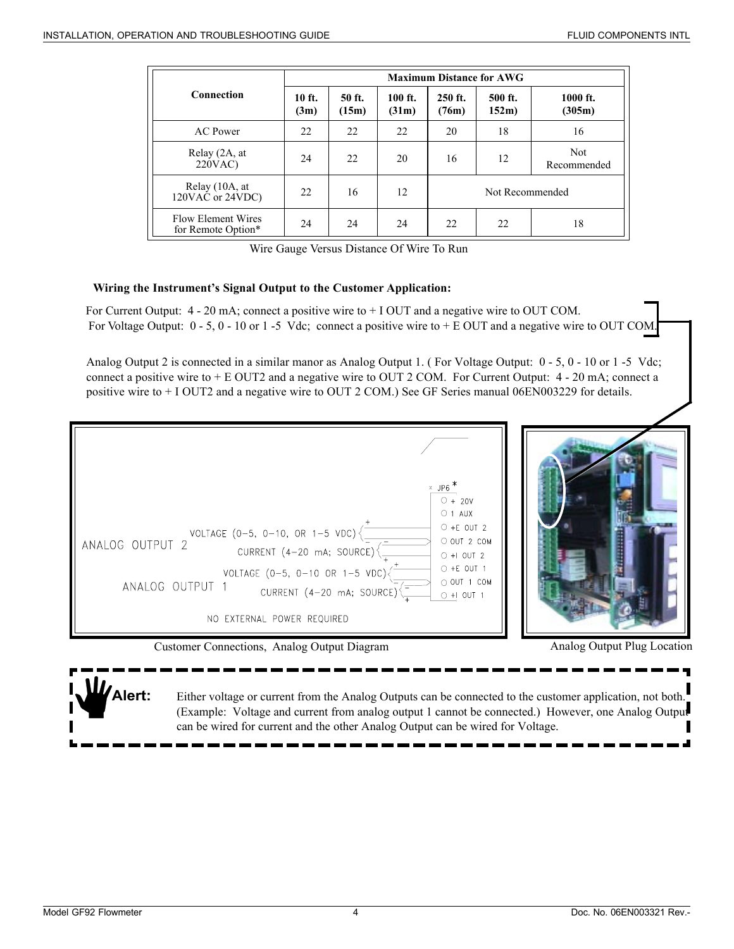|                                                 | <b>Maximum Distance for AWG</b> |                 |                  |                  |                  |                           |  |
|-------------------------------------------------|---------------------------------|-----------------|------------------|------------------|------------------|---------------------------|--|
| Connection                                      | $10$ ft.<br>(3m)                | 50 ft.<br>(15m) | 100 ft.<br>(31m) | 250 ft.<br>(76m) | 500 ft.<br>152m) | $1000$ ft.<br>(305m)      |  |
| AC Power                                        | 22                              | 22              | 22               | 20               | 18               | 16                        |  |
| Relay (2A, at<br>220VAC                         | 24                              | 22              | 20               | 16               | 12               | <b>Not</b><br>Recommended |  |
| Relay (10A, at<br>$120VA$ C or $24VDC$ )        | 22                              | 16              | 12               | Not Recommended  |                  |                           |  |
| <b>Flow Element Wires</b><br>for Remote Option* | 24                              | 24              | 24               | 22               | 22               | 18                        |  |

Wire Gauge Versus Distance Of Wire To Run

#### **Wiring the Instrument's Signal Output to the Customer Application:**

For Voltage Output:  $0 - 5$ ,  $0 - 10$  or 1 -5 Vdc; connect a positive wire to + E OUT and a negative wire to OUT COM. For Current Output:  $4 - 20$  mA; connect a positive wire to  $+ 1$  OUT and a negative wire to OUT COM.

Analog Output 2 is connected in a similar manor as Analog Output 1. (For Voltage Output: 0 - 5, 0 - 10 or 1 -5 Vdc; connect a positive wire to + E OUT2 and a negative wire to OUT 2 COM. For Current Output: 4 - 20 mA; connect a positive wire to + I OUT2 and a negative wire to OUT 2 COM.) See GF Series manual 06EN003229 for details.



Customer Connections, Analog Output Diagram

Analog Output Plug Location

**Alert:** Either voltage or current from the Analog Outputs can be connected to the customer application, not both. (Example: Voltage and current from analog output 1 cannot be connected.) However, one Analog Output can be wired for current and the other Analog Output can be wired for Voltage.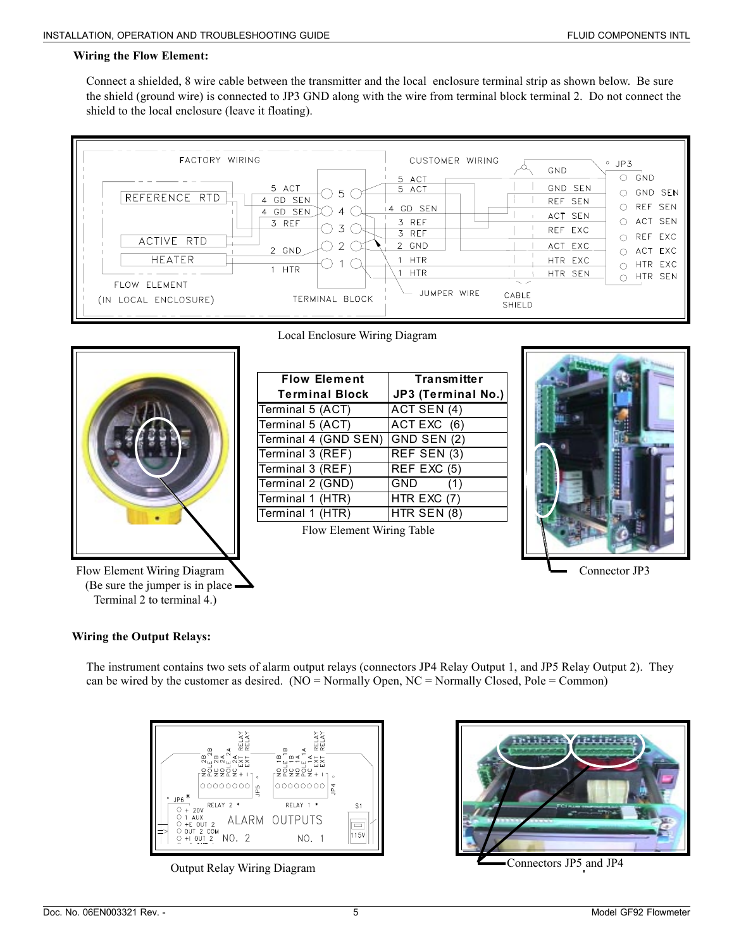#### **Wiring the Flow Element:**

Connect a shielded, 8 wire cable between the transmitter and the local enclosure terminal strip as shown below. Be sure the shield (ground wire) is connected to JP3 GND along with the wire from terminal block terminal 2. Do not connect the shield to the local enclosure (leave it floating).





Flow Element Wiring Diagram  $\sum$  (Be sure the jumper is in place Terminal 2 to terminal 4.)

Local Enclosure Wiring Diagram

| <b>Flow Element</b>              | <b>Transmitter</b> |  |  |
|----------------------------------|--------------------|--|--|
| <b>Terminal Block</b>            | JP3 (Terminal No.) |  |  |
| Terminal 5 (ACT)                 | ACT SEN (4)        |  |  |
| Terminal 5 (ACT)                 | ACTEXC (6)         |  |  |
| Terminal 4 (GND SEN) GND SEN (2) |                    |  |  |
| Terminal 3 (REF)                 | REF SEN (3)        |  |  |
| Terminal 3 (REF)                 | REF EXC (5)        |  |  |
| Terminal 2 (GND)                 | <b>GND</b><br>(1)  |  |  |
| Terminal 1 (HTR)                 | HTR $EXC(7)$       |  |  |
| Terminal 1 (HTR)                 | HTR SEN (8)        |  |  |





## **Wiring the Output Relays:**

The instrument contains two sets of alarm output relays (connectors JP4 Relay Output 1, and JP5 Relay Output 2). They can be wired by the customer as desired. ( $NO = Normally Open, NC = Normally Closed, Pole = Common$ )



Output Relay Wiring Diagram



Connectors JP5 and JP4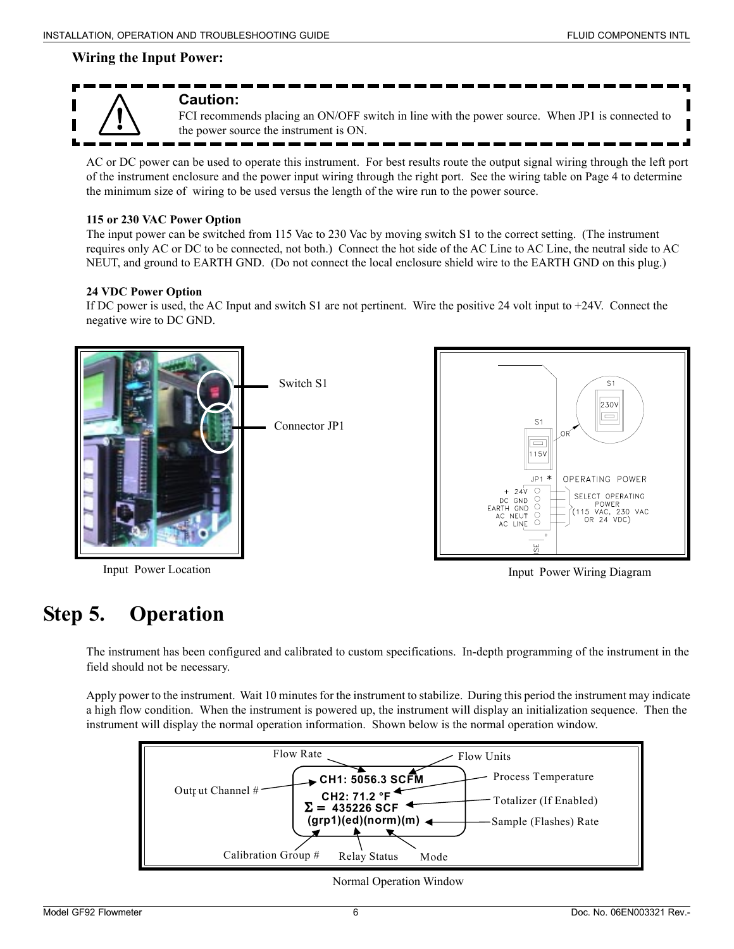## **Wiring the Input Power:**



## **Caution:**

FCI recommends placing an ON/OFF switch in line with the power source. When JP1 is connected to the power source the instrument is ON.

AC or DC power can be used to operate this instrument. For best results route the output signal wiring through the left port of the instrument enclosure and the power input wiring through the right port. See the wiring table on Page 4 to determine the minimum size of wiring to be used versus the length of the wire run to the power source.

#### **115 or 230 VAC Power Option**

The input power can be switched from 115 Vac to 230 Vac by moving switch S1 to the correct setting. (The instrument requires only AC or DC to be connected, not both.) Connect the hot side of the AC Line to AC Line, the neutral side to AC NEUT, and ground to EARTH GND. (Do not connect the local enclosure shield wire to the EARTH GND on this plug.)

#### **24 VDC Power Option**

If DC power is used, the AC Input and switch S1 are not pertinent. Wire the positive 24 volt input to +24V. Connect the negative wire to DC GND.



 $S<sub>1</sub>$ 230\ ⊟

OPERATING POWER

SELECT OPERATING

POWER<br>
(115 VAC, 230 VAC<br>
OR 24 VDC)

# **Step 5. Operation**

The instrument has been configured and calibrated to custom specifications. In-depth programming of the instrument in the field should not be necessary.

Apply power to the instrument. Wait 10 minutes for the instrument to stabilize. During this period the instrument may indicate a high flow condition. When the instrument is powered up, the instrument will display an initialization sequence. Then the instrument will display the normal operation information. Shown below is the normal operation window.



Normal Operation Window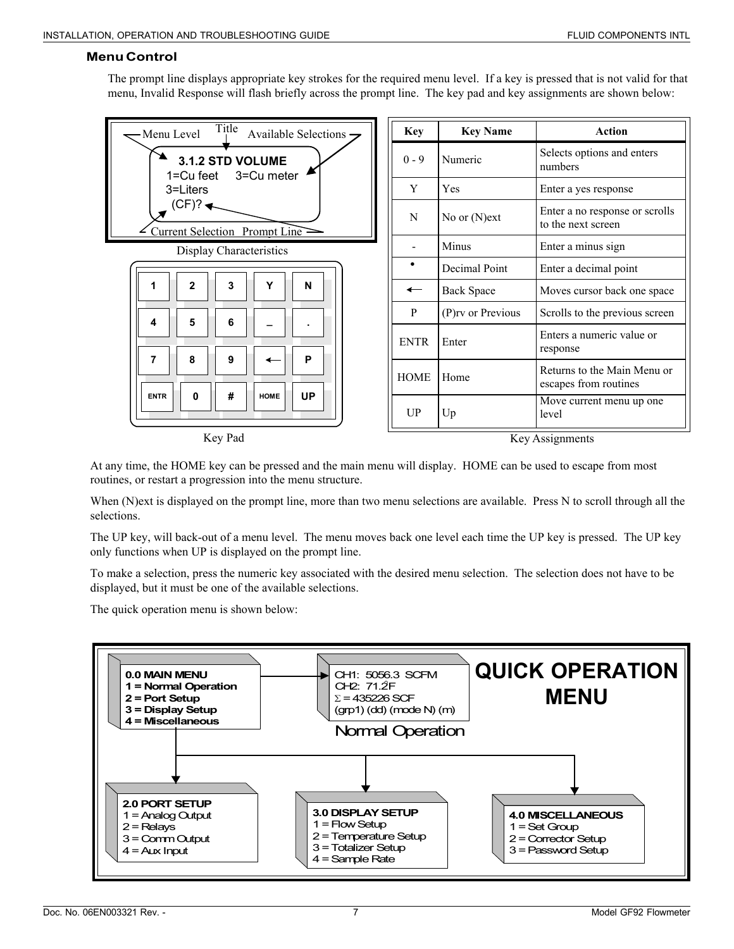## **Menu Control**

The prompt line displays appropriate key strokes for the required menu level. If a key is pressed that is not valid for that menu, Invalid Response will flash briefly across the prompt line. The key pad and key assignments are shown below:

| Title<br>Menu Level<br>Available Selections $\rightarrow$ | <b>Key</b>               | <b>Key Name</b>   | <b>Action</b>                                        |
|-----------------------------------------------------------|--------------------------|-------------------|------------------------------------------------------|
| 3.1.2 STD VOLUME<br>1=Cu feet<br>3=Cu meter               | $0 - 9$                  | Numeric           | Selects options and enters<br>numbers                |
| 3=Liters                                                  | Y                        | Yes               | Enter a yes response                                 |
| $(CF)? \triangleleft$<br>Current Selection Prompt Line    | N                        | No or $(N)$ ext   | Enter a no response or scrolls<br>to the next screen |
| Display Characteristics                                   |                          | Minus             | Enter a minus sign                                   |
|                                                           |                          | Decimal Point     | Enter a decimal point                                |
| Y<br>N<br>2<br>3                                          | $\overline{\phantom{0}}$ | <b>Back Space</b> | Moves cursor back one space                          |
| 5<br>6<br>4                                               | P                        | (P)rv or Previous | Scrolls to the previous screen                       |
| 7<br>8<br>9<br>P                                          | <b>ENTR</b>              | Enter             | Enters a numeric value or<br>response                |
|                                                           | <b>HOME</b>              | Home              | Returns to the Main Menu or<br>escapes from routines |
| <b>UP</b><br>#<br>0<br><b>ENTR</b><br><b>HOME</b>         | UP                       | Up                | Move current menu up one<br>level                    |
| $V_{\alpha\nu}$ D <sub>o</sub> $\lambda$                  |                          |                   | $V \sim \Lambda$ coi cumanta                         |

Key Pad

Key Assignments

At any time, the HOME key can be pressed and the main menu will display. HOME can be used to escape from most routines, or restart a progression into the menu structure.

When (N)ext is displayed on the prompt line, more than two menu selections are available. Press N to scroll through all the selections.

The UP key, will back-out of a menu level. The menu moves back one level each time the UP key is pressed. The UP key only functions when UP is displayed on the prompt line.

To make a selection, press the numeric key associated with the desired menu selection. The selection does not have to be displayed, but it must be one of the available selections.

The quick operation menu is shown below: